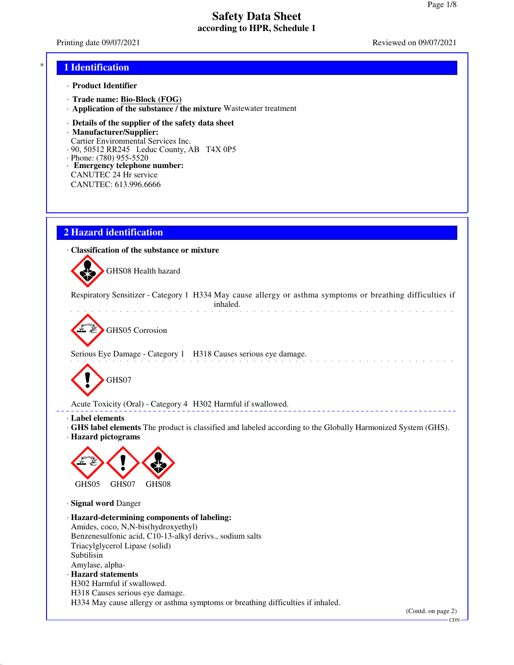Printing date 09/07/2021 **Reviewed on 09/07/2021** 

and the state of the state of the

#### \* **1 Identification**

- · **Product Identifier**
- · **Trade name: Bio-Block (FOG)**
- · **Application of the substance / the mixture** Wastewater treatment
- · **Details of the supplier of the safety data sheet**
- · **Manufacturer/Supplier:** Cartier Environmental Services Inc.
- · 90, 50512 RR245 Leduc County, AB T4X 0P5
- · Phone: (780) 955-5520
- · **Emergency telephone number:** CANUTEC 24 Hr service CANUTEC: 613.996.6666

### **2 Hazard identification**

· **Classification of the substance or mixture**



Respiratory Sensitizer - Category 1 H334 May cause allergy or asthma symptoms or breathing difficulties if inhaled.

GHS05 Corrosion

Serious Eye Damage - Category 1 H318 Causes serious eye damage.



Acute Toxicity (Oral) - Category 4 H302 Harmful if swallowed.

· **Label elements**

· **GHS label elements** The product is classified and labeled according to the Globally Harmonized System (GHS). · **Hazard pictograms**



· **Signal word** Danger

- · **Hazard-determining components of labeling:** Amides, coco, N,N-bis(hydroxyethyl) Benzenesulfonic acid, C10-13-alkyl derivs., sodium salts Triacylglycerol Lipase (solid) Subtilisin Amylase, alpha-
- · **Hazard statements** H302 Harmful if swallowed.
- H318 Causes serious eye damage.

H334 May cause allergy or asthma symptoms or breathing difficulties if inhaled.

(Contd. on page 2)

**CDN**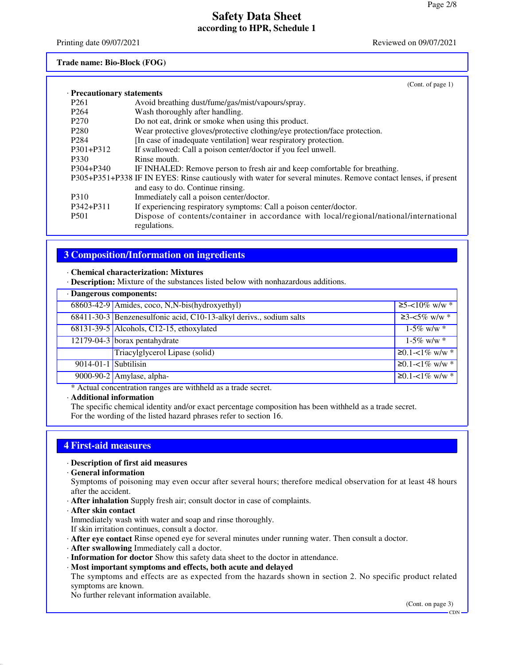Printing date 09/07/2021 **Reviewed on 09/07/2021** 

## **Trade name: Bio-Block (FOG)**

|                            | (Cont. of page $1$ )                                                                                          |
|----------------------------|---------------------------------------------------------------------------------------------------------------|
| · Precautionary statements |                                                                                                               |
| P <sub>261</sub>           | Avoid breathing dust/fume/gas/mist/vapours/spray.                                                             |
| P <sub>264</sub>           | Wash thoroughly after handling.                                                                               |
| P <sub>270</sub>           | Do not eat, drink or smoke when using this product.                                                           |
| P <sub>280</sub>           | Wear protective gloves/protective clothing/eye protection/face protection.                                    |
| P <sub>2</sub> 84          | [In case of inadequate ventilation] wear respiratory protection.                                              |
| $P301 + P312$              | If swallowed: Call a poison center/doctor if you feel unwell.                                                 |
| P330                       | Rinse mouth.                                                                                                  |
| P304+P340                  | IF INHALED: Remove person to fresh air and keep comfortable for breathing.                                    |
|                            | P305+P351+P338 IF IN EYES: Rinse cautiously with water for several minutes. Remove contact lenses, if present |
|                            | and easy to do. Continue rinsing.                                                                             |
| P310                       | Immediately call a poison center/doctor.                                                                      |
| P342+P311                  | If experiencing respiratory symptoms: Call a poison center/doctor.                                            |
| <b>P501</b>                | Dispose of contents/container in accordance with local/regional/national/international<br>regulations.        |

## **3 Composition/Information on ingredients**

#### · **Chemical characterization: Mixtures**

· **Description:** Mixture of the substances listed below with nonhazardous additions.

| · Dangerous components: |                                                                     |                          |
|-------------------------|---------------------------------------------------------------------|--------------------------|
|                         | 68603-42-9 Amides, coco, N,N-bis(hydroxyethyl)                      | $\geq$ 5-<10% w/w *      |
|                         | 68411-30-3 Benzenesulfonic acid, C10-13-alkyl derivs., sodium salts | $\geq$ 3-<5% w/w *       |
|                         | 68131-39-5 Alcohols, C12-15, ethoxylated                            | $1-5\%$ w/w $*$          |
|                         | 12179-04-3 borax pentahydrate                                       | $1-5\%$ w/w $*$          |
|                         | Triacylglycerol Lipase (solid)                                      | ≥0.1-<1% w/w $*$         |
| $9014-01-1$ Subtilisin  |                                                                     | $≥0.1 - 1\%$ w/w $*$     |
|                         | 9000-90-2 Amylase, alpha-                                           | $\geq 0.1 - 1\%$ w/w $*$ |

\* Actual concentration ranges are withheld as a trade secret.

#### · **Additional information**

The specific chemical identity and/or exact percentage composition has been withheld as a trade secret. For the wording of the listed hazard phrases refer to section 16.

### **4 First-aid measures**

#### · **Description of first aid measures**

· **General information**

Symptoms of poisoning may even occur after several hours; therefore medical observation for at least 48 hours after the accident.

- · **After inhalation** Supply fresh air; consult doctor in case of complaints.
- · **After skin contact**
- Immediately wash with water and soap and rinse thoroughly.
- If skin irritation continues, consult a doctor.
- · **After eye contact** Rinse opened eye for several minutes under running water. Then consult a doctor.
- · **After swallowing** Immediately call a doctor.
- · **Information for doctor** Show this safety data sheet to the doctor in attendance.
- · **Most important symptoms and effects, both acute and delayed**
- The symptoms and effects are as expected from the hazards shown in section 2. No specific product related symptoms are known.

No further relevant information available.

(Cont. on page 3)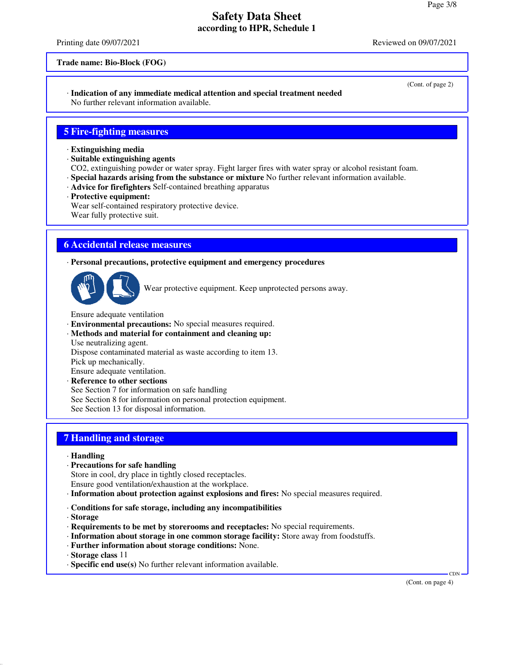Printing date 09/07/2021 **Reviewed on 09/07/2021** 

#### **Trade name: Bio-Block (FOG)**

#### · **Indication of any immediate medical attention and special treatment needed** No further relevant information available.

### **5 Fire-fighting measures**

- · **Extinguishing media**
- · **Suitable extinguishing agents**

CO2, extinguishing powder or water spray. Fight larger fires with water spray or alcohol resistant foam.

- · **Special hazards arising from the substance or mixture** No further relevant information available.
- · **Advice for firefighters** Self-contained breathing apparatus
- · **Protective equipment:**

Wear self-contained respiratory protective device. Wear fully protective suit.

### **6 Accidental release measures**

· **Personal precautions, protective equipment and emergency procedures**



Wear protective equipment. Keep unprotected persons away.

Ensure adequate ventilation

- · **Environmental precautions:** No special measures required.
- · **Methods and material for containment and cleaning up:** Use neutralizing agent.

Dispose contaminated material as waste according to item 13.

Pick up mechanically.

Ensure adequate ventilation.

· **Reference to other sections**

See Section 7 for information on safe handling

See Section 8 for information on personal protection equipment.

See Section 13 for disposal information.

## **7 Handling and storage**

- · **Handling**
- · **Precautions for safe handling**

Store in cool, dry place in tightly closed receptacles.

- Ensure good ventilation/exhaustion at the workplace.
- · **Information about protection against explosions and fires:** No special measures required.
- · **Conditions for safe storage, including any incompatibilities**

· **Storage**

- · **Requirements to be met by storerooms and receptacles:** No special requirements.
- · **Information about storage in one common storage facility:** Store away from foodstuffs.
- · **Further information about storage conditions:** None.
- · **Storage class** 11
- · **Specific end use(s)** No further relevant information available.

(Cont. on page 4)

CDN

<sup>(</sup>Cont. of page 2)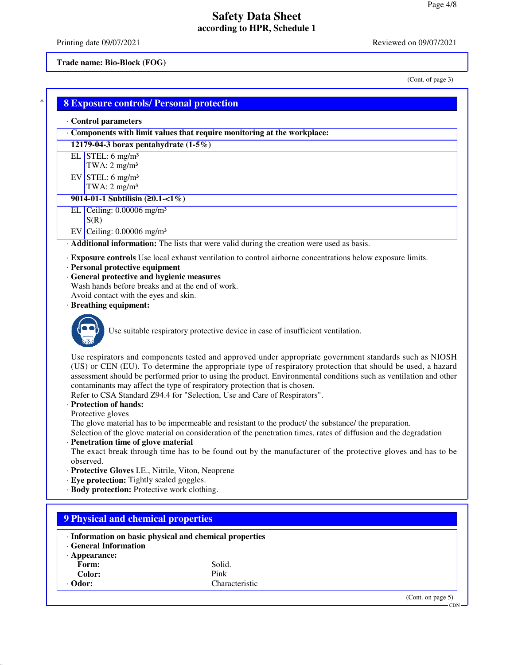Printing date 09/07/2021 Reviewed on 09/07/2021

#### **Trade name: Bio-Block (FOG)**

(Cont. of page 3)

 $-CDN -$ 

٦

| Components with limit values that require monitoring at the workplace:<br>12179-04-3 borax pentahydrate $(1-5\%)$<br>EL STEL: $6$ mg/m <sup>3</sup><br>TWA: $2 \text{ mg/m}^3$<br>EV STEL: $6 \text{ mg/m}^3$<br>TWA: $2 \text{ mg/m}^3$<br>9014-01-1 Subtilisin $(20.1 - 1\%)$<br>EL $\sqrt{\text{ceiling}: 0.00006 \text{ mg/m}^3}$<br>S(R)<br>EV Ceiling: $0.00006$ mg/m <sup>3</sup><br>· Additional information: The lists that were valid during the creation were used as basis.<br>· Exposure controls Use local exhaust ventilation to control airborne concentrations below exposure limits.<br>· Personal protective equipment<br>· General protective and hygienic measures<br>Wash hands before breaks and at the end of work.<br>Avoid contact with the eyes and skin.<br>· Breathing equipment:<br>Use suitable respiratory protective device in case of insufficient ventilation.<br>Use respirators and components tested and approved under appropriate government standards such as NIOSH<br>(US) or CEN (EU). To determine the appropriate type of respiratory protection that should be used, a hazard<br>assessment should be performed prior to using the product. Environmental conditions such as ventilation and other<br>contaminants may affect the type of respiratory protection that is chosen.<br>Refer to CSA Standard Z94.4 for "Selection, Use and Care of Respirators".<br>· Protection of hands:<br>Protective gloves<br>The glove material has to be impermeable and resistant to the product/ the substance/ the preparation.<br>Selection of the glove material on consideration of the penetration times, rates of diffusion and the degradation<br>· Penetration time of glove material<br>The exact break through time has to be found out by the manufacturer of the protective gloves and has to be<br>observed.<br>· Protective Gloves I.E., Nitrile, Viton, Neoprene<br>· Eye protection: Tightly sealed goggles.<br>· Body protection: Protective work clothing.<br>· Information on basic physical and chemical properties<br><b>General Information</b><br>· Appearance:<br>Solid.<br>Form:<br>Pink<br>Color:<br>Characteristic | · Control parameters |  |
|-----------------------------------------------------------------------------------------------------------------------------------------------------------------------------------------------------------------------------------------------------------------------------------------------------------------------------------------------------------------------------------------------------------------------------------------------------------------------------------------------------------------------------------------------------------------------------------------------------------------------------------------------------------------------------------------------------------------------------------------------------------------------------------------------------------------------------------------------------------------------------------------------------------------------------------------------------------------------------------------------------------------------------------------------------------------------------------------------------------------------------------------------------------------------------------------------------------------------------------------------------------------------------------------------------------------------------------------------------------------------------------------------------------------------------------------------------------------------------------------------------------------------------------------------------------------------------------------------------------------------------------------------------------------------------------------------------------------------------------------------------------------------------------------------------------------------------------------------------------------------------------------------------------------------------------------------------------------------------------------------------------------------------------------------------------------------------------------------------------------------------------------------------------------------------------|----------------------|--|
|                                                                                                                                                                                                                                                                                                                                                                                                                                                                                                                                                                                                                                                                                                                                                                                                                                                                                                                                                                                                                                                                                                                                                                                                                                                                                                                                                                                                                                                                                                                                                                                                                                                                                                                                                                                                                                                                                                                                                                                                                                                                                                                                                                                   |                      |  |
|                                                                                                                                                                                                                                                                                                                                                                                                                                                                                                                                                                                                                                                                                                                                                                                                                                                                                                                                                                                                                                                                                                                                                                                                                                                                                                                                                                                                                                                                                                                                                                                                                                                                                                                                                                                                                                                                                                                                                                                                                                                                                                                                                                                   |                      |  |
|                                                                                                                                                                                                                                                                                                                                                                                                                                                                                                                                                                                                                                                                                                                                                                                                                                                                                                                                                                                                                                                                                                                                                                                                                                                                                                                                                                                                                                                                                                                                                                                                                                                                                                                                                                                                                                                                                                                                                                                                                                                                                                                                                                                   |                      |  |
|                                                                                                                                                                                                                                                                                                                                                                                                                                                                                                                                                                                                                                                                                                                                                                                                                                                                                                                                                                                                                                                                                                                                                                                                                                                                                                                                                                                                                                                                                                                                                                                                                                                                                                                                                                                                                                                                                                                                                                                                                                                                                                                                                                                   |                      |  |
|                                                                                                                                                                                                                                                                                                                                                                                                                                                                                                                                                                                                                                                                                                                                                                                                                                                                                                                                                                                                                                                                                                                                                                                                                                                                                                                                                                                                                                                                                                                                                                                                                                                                                                                                                                                                                                                                                                                                                                                                                                                                                                                                                                                   |                      |  |
|                                                                                                                                                                                                                                                                                                                                                                                                                                                                                                                                                                                                                                                                                                                                                                                                                                                                                                                                                                                                                                                                                                                                                                                                                                                                                                                                                                                                                                                                                                                                                                                                                                                                                                                                                                                                                                                                                                                                                                                                                                                                                                                                                                                   |                      |  |
|                                                                                                                                                                                                                                                                                                                                                                                                                                                                                                                                                                                                                                                                                                                                                                                                                                                                                                                                                                                                                                                                                                                                                                                                                                                                                                                                                                                                                                                                                                                                                                                                                                                                                                                                                                                                                                                                                                                                                                                                                                                                                                                                                                                   |                      |  |
|                                                                                                                                                                                                                                                                                                                                                                                                                                                                                                                                                                                                                                                                                                                                                                                                                                                                                                                                                                                                                                                                                                                                                                                                                                                                                                                                                                                                                                                                                                                                                                                                                                                                                                                                                                                                                                                                                                                                                                                                                                                                                                                                                                                   |                      |  |
|                                                                                                                                                                                                                                                                                                                                                                                                                                                                                                                                                                                                                                                                                                                                                                                                                                                                                                                                                                                                                                                                                                                                                                                                                                                                                                                                                                                                                                                                                                                                                                                                                                                                                                                                                                                                                                                                                                                                                                                                                                                                                                                                                                                   |                      |  |
|                                                                                                                                                                                                                                                                                                                                                                                                                                                                                                                                                                                                                                                                                                                                                                                                                                                                                                                                                                                                                                                                                                                                                                                                                                                                                                                                                                                                                                                                                                                                                                                                                                                                                                                                                                                                                                                                                                                                                                                                                                                                                                                                                                                   |                      |  |
|                                                                                                                                                                                                                                                                                                                                                                                                                                                                                                                                                                                                                                                                                                                                                                                                                                                                                                                                                                                                                                                                                                                                                                                                                                                                                                                                                                                                                                                                                                                                                                                                                                                                                                                                                                                                                                                                                                                                                                                                                                                                                                                                                                                   |                      |  |
|                                                                                                                                                                                                                                                                                                                                                                                                                                                                                                                                                                                                                                                                                                                                                                                                                                                                                                                                                                                                                                                                                                                                                                                                                                                                                                                                                                                                                                                                                                                                                                                                                                                                                                                                                                                                                                                                                                                                                                                                                                                                                                                                                                                   |                      |  |
|                                                                                                                                                                                                                                                                                                                                                                                                                                                                                                                                                                                                                                                                                                                                                                                                                                                                                                                                                                                                                                                                                                                                                                                                                                                                                                                                                                                                                                                                                                                                                                                                                                                                                                                                                                                                                                                                                                                                                                                                                                                                                                                                                                                   |                      |  |
|                                                                                                                                                                                                                                                                                                                                                                                                                                                                                                                                                                                                                                                                                                                                                                                                                                                                                                                                                                                                                                                                                                                                                                                                                                                                                                                                                                                                                                                                                                                                                                                                                                                                                                                                                                                                                                                                                                                                                                                                                                                                                                                                                                                   |                      |  |
|                                                                                                                                                                                                                                                                                                                                                                                                                                                                                                                                                                                                                                                                                                                                                                                                                                                                                                                                                                                                                                                                                                                                                                                                                                                                                                                                                                                                                                                                                                                                                                                                                                                                                                                                                                                                                                                                                                                                                                                                                                                                                                                                                                                   |                      |  |
|                                                                                                                                                                                                                                                                                                                                                                                                                                                                                                                                                                                                                                                                                                                                                                                                                                                                                                                                                                                                                                                                                                                                                                                                                                                                                                                                                                                                                                                                                                                                                                                                                                                                                                                                                                                                                                                                                                                                                                                                                                                                                                                                                                                   |                      |  |
|                                                                                                                                                                                                                                                                                                                                                                                                                                                                                                                                                                                                                                                                                                                                                                                                                                                                                                                                                                                                                                                                                                                                                                                                                                                                                                                                                                                                                                                                                                                                                                                                                                                                                                                                                                                                                                                                                                                                                                                                                                                                                                                                                                                   |                      |  |
| <b>9 Physical and chemical properties</b>                                                                                                                                                                                                                                                                                                                                                                                                                                                                                                                                                                                                                                                                                                                                                                                                                                                                                                                                                                                                                                                                                                                                                                                                                                                                                                                                                                                                                                                                                                                                                                                                                                                                                                                                                                                                                                                                                                                                                                                                                                                                                                                                         |                      |  |
|                                                                                                                                                                                                                                                                                                                                                                                                                                                                                                                                                                                                                                                                                                                                                                                                                                                                                                                                                                                                                                                                                                                                                                                                                                                                                                                                                                                                                                                                                                                                                                                                                                                                                                                                                                                                                                                                                                                                                                                                                                                                                                                                                                                   |                      |  |
|                                                                                                                                                                                                                                                                                                                                                                                                                                                                                                                                                                                                                                                                                                                                                                                                                                                                                                                                                                                                                                                                                                                                                                                                                                                                                                                                                                                                                                                                                                                                                                                                                                                                                                                                                                                                                                                                                                                                                                                                                                                                                                                                                                                   |                      |  |
|                                                                                                                                                                                                                                                                                                                                                                                                                                                                                                                                                                                                                                                                                                                                                                                                                                                                                                                                                                                                                                                                                                                                                                                                                                                                                                                                                                                                                                                                                                                                                                                                                                                                                                                                                                                                                                                                                                                                                                                                                                                                                                                                                                                   |                      |  |
|                                                                                                                                                                                                                                                                                                                                                                                                                                                                                                                                                                                                                                                                                                                                                                                                                                                                                                                                                                                                                                                                                                                                                                                                                                                                                                                                                                                                                                                                                                                                                                                                                                                                                                                                                                                                                                                                                                                                                                                                                                                                                                                                                                                   |                      |  |
|                                                                                                                                                                                                                                                                                                                                                                                                                                                                                                                                                                                                                                                                                                                                                                                                                                                                                                                                                                                                                                                                                                                                                                                                                                                                                                                                                                                                                                                                                                                                                                                                                                                                                                                                                                                                                                                                                                                                                                                                                                                                                                                                                                                   |                      |  |
|                                                                                                                                                                                                                                                                                                                                                                                                                                                                                                                                                                                                                                                                                                                                                                                                                                                                                                                                                                                                                                                                                                                                                                                                                                                                                                                                                                                                                                                                                                                                                                                                                                                                                                                                                                                                                                                                                                                                                                                                                                                                                                                                                                                   |                      |  |
|                                                                                                                                                                                                                                                                                                                                                                                                                                                                                                                                                                                                                                                                                                                                                                                                                                                                                                                                                                                                                                                                                                                                                                                                                                                                                                                                                                                                                                                                                                                                                                                                                                                                                                                                                                                                                                                                                                                                                                                                                                                                                                                                                                                   |                      |  |
|                                                                                                                                                                                                                                                                                                                                                                                                                                                                                                                                                                                                                                                                                                                                                                                                                                                                                                                                                                                                                                                                                                                                                                                                                                                                                                                                                                                                                                                                                                                                                                                                                                                                                                                                                                                                                                                                                                                                                                                                                                                                                                                                                                                   |                      |  |
|                                                                                                                                                                                                                                                                                                                                                                                                                                                                                                                                                                                                                                                                                                                                                                                                                                                                                                                                                                                                                                                                                                                                                                                                                                                                                                                                                                                                                                                                                                                                                                                                                                                                                                                                                                                                                                                                                                                                                                                                                                                                                                                                                                                   |                      |  |
|                                                                                                                                                                                                                                                                                                                                                                                                                                                                                                                                                                                                                                                                                                                                                                                                                                                                                                                                                                                                                                                                                                                                                                                                                                                                                                                                                                                                                                                                                                                                                                                                                                                                                                                                                                                                                                                                                                                                                                                                                                                                                                                                                                                   |                      |  |
|                                                                                                                                                                                                                                                                                                                                                                                                                                                                                                                                                                                                                                                                                                                                                                                                                                                                                                                                                                                                                                                                                                                                                                                                                                                                                                                                                                                                                                                                                                                                                                                                                                                                                                                                                                                                                                                                                                                                                                                                                                                                                                                                                                                   |                      |  |
|                                                                                                                                                                                                                                                                                                                                                                                                                                                                                                                                                                                                                                                                                                                                                                                                                                                                                                                                                                                                                                                                                                                                                                                                                                                                                                                                                                                                                                                                                                                                                                                                                                                                                                                                                                                                                                                                                                                                                                                                                                                                                                                                                                                   |                      |  |
|                                                                                                                                                                                                                                                                                                                                                                                                                                                                                                                                                                                                                                                                                                                                                                                                                                                                                                                                                                                                                                                                                                                                                                                                                                                                                                                                                                                                                                                                                                                                                                                                                                                                                                                                                                                                                                                                                                                                                                                                                                                                                                                                                                                   |                      |  |
|                                                                                                                                                                                                                                                                                                                                                                                                                                                                                                                                                                                                                                                                                                                                                                                                                                                                                                                                                                                                                                                                                                                                                                                                                                                                                                                                                                                                                                                                                                                                                                                                                                                                                                                                                                                                                                                                                                                                                                                                                                                                                                                                                                                   |                      |  |
|                                                                                                                                                                                                                                                                                                                                                                                                                                                                                                                                                                                                                                                                                                                                                                                                                                                                                                                                                                                                                                                                                                                                                                                                                                                                                                                                                                                                                                                                                                                                                                                                                                                                                                                                                                                                                                                                                                                                                                                                                                                                                                                                                                                   |                      |  |
| (Cont. on page 5)                                                                                                                                                                                                                                                                                                                                                                                                                                                                                                                                                                                                                                                                                                                                                                                                                                                                                                                                                                                                                                                                                                                                                                                                                                                                                                                                                                                                                                                                                                                                                                                                                                                                                                                                                                                                                                                                                                                                                                                                                                                                                                                                                                 |                      |  |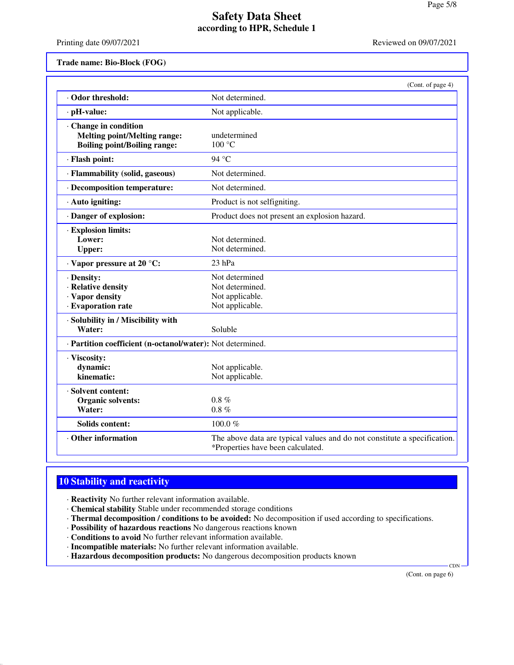Printing date 09/07/2021 **Reviewed on 09/07/2021** 

#### **Trade name: Bio-Block (FOG)**

|                                                                                                     | (Cont. of page 4)                                                                                             |
|-----------------------------------------------------------------------------------------------------|---------------------------------------------------------------------------------------------------------------|
| · Odor threshold:                                                                                   | Not determined.                                                                                               |
| · pH-value:                                                                                         | Not applicable.                                                                                               |
| · Change in condition<br><b>Melting point/Melting range:</b><br><b>Boiling point/Boiling range:</b> | undetermined<br>100 °C                                                                                        |
| · Flash point:                                                                                      | 94 °C                                                                                                         |
| · Flammability (solid, gaseous)                                                                     | Not determined.                                                                                               |
| · Decomposition temperature:                                                                        | Not determined.                                                                                               |
| $\cdot$ Auto igniting:                                                                              | Product is not selfigniting.                                                                                  |
| · Danger of explosion:                                                                              | Product does not present an explosion hazard.                                                                 |
| · Explosion limits:<br>Lower:<br><b>Upper:</b>                                                      | Not determined.<br>Not determined.                                                                            |
| · Vapor pressure at 20 °C:                                                                          | 23 hPa                                                                                                        |
| · Density:<br>· Relative density<br>· Vapor density<br>· Evaporation rate                           | Not determined<br>Not determined.<br>Not applicable.<br>Not applicable.                                       |
| · Solubility in / Miscibility with<br>Water:                                                        | Soluble                                                                                                       |
| · Partition coefficient (n-octanol/water): Not determined.                                          |                                                                                                               |
| · Viscosity:<br>dynamic:<br>kinematic:                                                              | Not applicable.<br>Not applicable.                                                                            |
| · Solvent content:<br>Organic solvents:<br>Water:                                                   | $0.8 \%$<br>$0.8 \%$                                                                                          |
| Solids content:                                                                                     | 100.0%                                                                                                        |
| · Other information                                                                                 | The above data are typical values and do not constitute a specification.<br>*Properties have been calculated. |

# **10 Stability and reactivity**

- · **Reactivity** No further relevant information available.
- · **Chemical stability** Stable under recommended storage conditions
- · **Thermal decomposition / conditions to be avoided:** No decomposition if used according to specifications.
- · **Possibility of hazardous reactions** No dangerous reactions known
- · **Conditions to avoid** No further relevant information available.
- · **Incompatible materials:** No further relevant information available.
- · **Hazardous decomposition products:** No dangerous decomposition products known

(Cont. on page 6)

**CDN**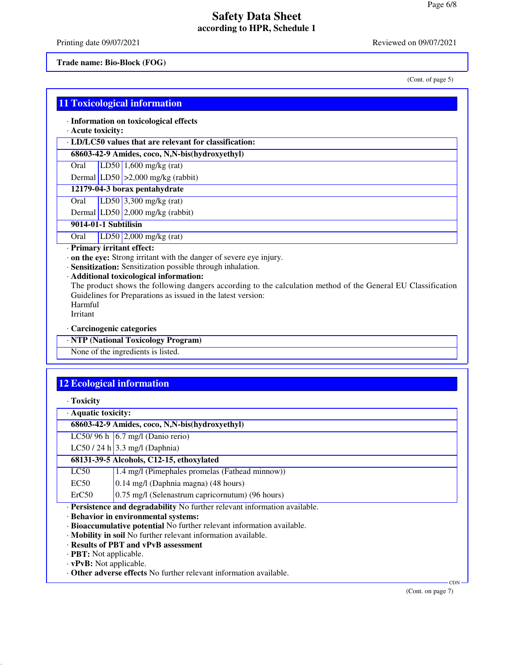Printing date 09/07/2021 **Reviewed on 09/07/2021** 

#### **Trade name: Bio-Block (FOG)**

(Cont. of page 5)

|  |  | 11 Toxicological information |
|--|--|------------------------------|
|  |  |                              |
|  |  |                              |
|  |  |                              |

· **Information on toxicological effects**

· **Acute toxicity:**

· **LD/LC50 values that are relevant for classification:**

**68603-42-9 Amides, coco, N,N-bis(hydroxyethyl)**

Oral LD50 1,600 mg/kg (rat)

Dermal  $|LD50| > 2,000$  mg/kg (rabbit)

**12179-04-3 borax pentahydrate** Oral LD50 3,300 mg/kg (rat)

Dermal LD50 2,000 mg/kg (rabbit)

**9014-01-1 Subtilisin**

Oral LD50 2,000 mg/kg (rat)

· **Primary irritant effect:**

· **on the eye:** Strong irritant with the danger of severe eye injury.

· **Sensitization:** Sensitization possible through inhalation.

· **Additional toxicological information:**

The product shows the following dangers according to the calculation method of the General EU Classification Guidelines for Preparations as issued in the latest version: Harmful

Irritant

· **Carcinogenic categories**

· **NTP (National Toxicology Program)**

None of the ingredients is listed.

## **12 Ecological information**

| · Aquatic toxicity:                                                        |                                                                            |  |
|----------------------------------------------------------------------------|----------------------------------------------------------------------------|--|
| 68603-42-9 Amides, coco, N,N-bis(hydroxyethyl)                             |                                                                            |  |
|                                                                            | LC50/96 h $\vert$ 6.7 mg/l (Danio rerio)                                   |  |
|                                                                            | LC50 / 24 h $\vert$ 3.3 mg/l (Daphnia)                                     |  |
|                                                                            | 68131-39-5 Alcohols, C12-15, ethoxylated                                   |  |
| LC50                                                                       | 1.4 mg/l (Pimephales promelas (Fathead minnow))                            |  |
| EC50                                                                       | 0.14 mg/l (Daphnia magna) (48 hours)                                       |  |
| ErC50                                                                      | 0.75 mg/l (Selenastrum capricornutum) (96 hours)                           |  |
| · Persistence and degradability No further relevant information available. |                                                                            |  |
| · Behavior in environmental systems:                                       |                                                                            |  |
| · Bioaccumulative potential No further relevant information available.     |                                                                            |  |
| · Mobility in soil No further relevant information available.              |                                                                            |  |
| · Results of PBT and vPvB assessment                                       |                                                                            |  |
| $\cdot$ <b>PBT:</b> Not applicable.                                        |                                                                            |  |
|                                                                            | $\mathbf{v} \cdot \mathbf{D} \mathbf{v} \cdot \mathbf{D} \cdot \mathbf{A}$ |  |

· **vPvB:** Not applicable. · **Other adverse effects** No further relevant information available.

(Cont. on page 7)

CDN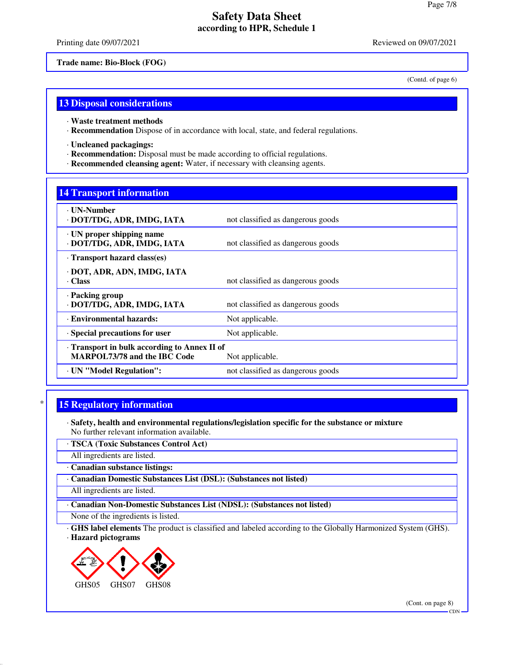Printing date 09/07/2021 **Reviewed on 09/07/2021** 

(Contd. of page 6)

**Trade name: Bio-Block (FOG)**

**13 Disposal considerations**

- · **Waste treatment methods**
- · **Recommendation** Dispose of in accordance with local, state, and federal regulations.
- · **Uncleaned packagings:**
- · **Recommendation:** Disposal must be made according to official regulations.
- · **Recommended cleansing agent:** Water, if necessary with cleansing agents.

### **14 Transport information**

| <b>· UN-Number</b><br>· DOT/TDG, ADR, IMDG, IATA                                    | not classified as dangerous goods |
|-------------------------------------------------------------------------------------|-----------------------------------|
| $\cdot$ UN proper shipping name<br>· DOT/TDG, ADR, IMDG, IATA                       | not classified as dangerous goods |
| Transport hazard class(es)                                                          |                                   |
| · DOT, ADR, ADN, IMDG, IATA<br>· Class                                              | not classified as dangerous goods |
| · Packing group<br>· DOT/TDG, ADR, IMDG, IATA                                       | not classified as dangerous goods |
| · Environmental hazards:                                                            | Not applicable.                   |
| · Special precautions for user                                                      | Not applicable.                   |
| · Transport in bulk according to Annex II of<br><b>MARPOL73/78 and the IBC Code</b> | Not applicable.                   |
| · UN "Model Regulation":                                                            | not classified as dangerous goods |
|                                                                                     |                                   |

## **15 Regulatory information**

- · **Safety, health and environmental regulations/legislation specific for the substance or mixture** No further relevant information available.
- · **TSCA (Toxic Substances Control Act)**

All ingredients are listed.

· **Canadian substance listings:**

· **Canadian Domestic Substances List (DSL): (Substances not listed)**

All ingredients are listed.

· **Canadian Non-Domestic Substances List (NDSL): (Substances not listed)**

None of the ingredients is listed.

· **GHS label elements** The product is classified and labeled according to the Globally Harmonized System (GHS). · **Hazard pictograms**



(Cont. on page 8)

**CDN**